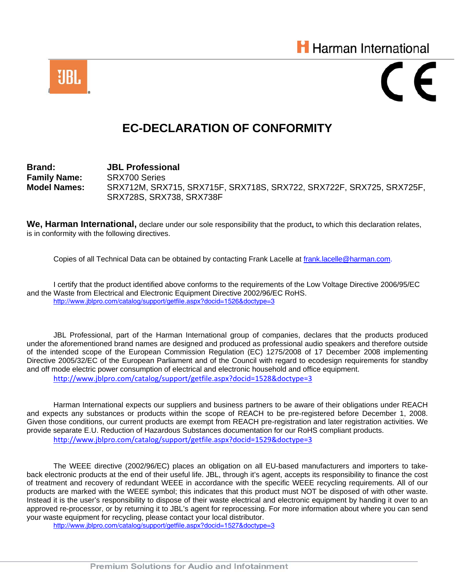



## **EC-DECLARATION OF CONFORMITY**

**Brand: JBL Professional Family Name:** SRX700 Series **Model Names:** SRX712M, SRX715, SRX715F, SRX718S, SRX722, SRX722F, SRX725, SRX725F, SRX728S, SRX738, SRX738F

**We, Harman International,** declare under our sole responsibility that the product**,** to which this declaration relates, is in conformity with the following directives.

Copies of all Technical Data can be obtained by contacting Frank Lacelle at [frank.lacelle@harman.com](mailto:frank.lacelle@harman.com).

 I certify that the product identified above conforms to the requirements of the Low Voltage Directive 2006/95/EC and the Waste from Electrical and Electronic Equipment Directive 2002/96/EC RoHS. <http://www.jblpro.com/catalog/support/getfile.aspx?docid=1526&doctype=3>

JBL Professional, part of the Harman International group of companies, declares that the products produced under the aforementioned brand names are designed and produced as professional audio speakers and therefore outside of the intended scope of the European Commission Regulation (EC) 1275/2008 of 17 December 2008 implementing Directive 2005/32/EC of the European Parliament and of the Council with regard to ecodesign requirements for standby and off mode electric power consumption of electrical and electronic household and office equipment. <http://www.jblpro.com/catalog/support/getfile.aspx?docid=1528&doctype=3>

Harman International expects our suppliers and business partners to be aware of their obligations under REACH and expects any substances or products within the scope of REACH to be pre-registered before December 1, 2008. Given those conditions, our current products are exempt from REACH pre-registration and later registration activities. We provide separate E.U. Reduction of Hazardous Substances documentation for our RoHS compliant products. <http://www.jblpro.com/catalog/support/getfile.aspx?docid=1529&doctype=3>

The WEEE directive (2002/96/EC) places an obligation on all EU-based manufacturers and importers to takeback electronic products at the end of their useful life. JBL, through it's agent, accepts its responsibility to finance the cost of treatment and recovery of redundant WEEE in accordance with the specific WEEE recycling requirements. All of our products are marked with the WEEE symbol; this indicates that this product must NOT be disposed of with other waste. Instead it is the user's responsibility to dispose of their waste electrical and electronic equipment by handing it over to an approved re-processor, or by returning it to JBL's agent for reprocessing. For more information about where you can send your waste equipment for recycling, please contact your local distributor.

<http://www.jblpro.com/catalog/support/getfile.aspx?docid=1527&doctype=3>